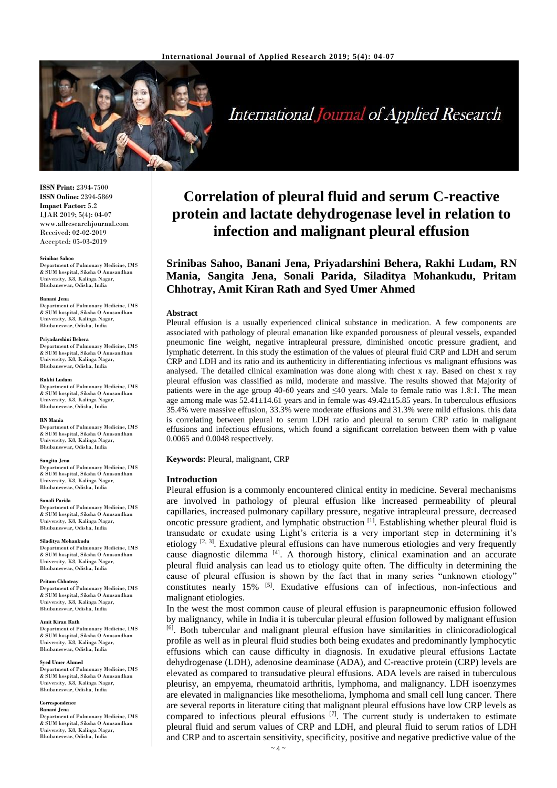

**International Journal of Applied Research** 

**ISSN Print:** 2394-7500 **ISSN Online:** 2394-5869 **Impact Factor:** 5.2 IJAR 2019; 5(4): 04-07 www.allresearchjournal.com Received: 02-02-2019 Accepted: 05-03-2019

## **Srinibas Sahoo**

Department of Pulmonary Medicine, IMS & SUM hospital, Siksha O Anusandhan University, K8, Kalinga Nagar, Bhubaneswar, Odisha, India

#### **Banani Jena**

Department of Pulmonary Medicine, IMS & SUM hospital, Siksha O Anusandhan University, K8, Kalinga Nagar, Bhubaneswar, Odisha, India

## **Priyadarshini Behera**

Department of Pulmonary Medicine, IMS & SUM hospital, Siksha O Anusandhan University, K8, Kalinga Nagar, Bhubaneswar, Odisha, India

#### **Rakhi Ludam**

Department of Pulmonary Medicine, IMS & SUM hospital, Siksha O Anusandhan University, K8, Kalinga Nagar, Bhubaneswar, Odisha, India

#### **RN Mania**

Department of Pulmonary Medicine, IMS & SUM hospital, Siksha O Anusandhan University, K8, Kalinga Nagar, Bhubaneswar, Odisha, India

## **Sangita Jena**

Department of Pulmonary Medicine, IMS & SUM hospital, Siksha O Anusandhan University, K8, Kalinga Nagar, Bhubaneswar, Odisha, India

## **Sonali Parida**

Department of Pulmonary Medicine, IMS & SUM hospital, Siksha O Anusandhan University, K8, Kalinga Nagar, Bhubaneswar, Odisha, India

## **Siladitya Mohankudu**

Department of Pulmonary Medicine, IMS & SUM hospital, Siksha O Anusandhan University, K8, Kalinga Nagar, Bhubaneswar, Odisha, India

#### **Pritam Chhotray**

Department of Pulmonary Medicine, IMS & SUM hospital, Siksha O Anusandhan University, K8, Kalinga Nagar, Bhubaneswar, Odisha, India

## **Amit Kiran Rath**

Department of Pulmonary Medicine, IMS & SUM hospital, Siksha O Anusandhan University, K8, Kalinga Nagar, Bhubaneswar, Odisha, India

## **Syed Umer Ahmed**

Department of Pulmonary Medicine, IMS & SUM hospital, Siksha O Anusandhan University, K8, Kalinga Nagar, Bhubaneswar, Odisha, India

## **Correspondence**

**Banani Jena** Department of Pulmonary Medicine, IMS & SUM hospital, Siksha O Anusandhan University, K8, Kalinga Nagar, Bhubaneswar, Odisha, India

# **Correlation of pleural fluid and serum C-reactive protein and lactate dehydrogenase level in relation to infection and malignant pleural effusion**

**Srinibas Sahoo, Banani Jena, Priyadarshini Behera, Rakhi Ludam, RN Mania, Sangita Jena, Sonali Parida, Siladitya Mohankudu, Pritam Chhotray, Amit Kiran Rath and Syed Umer Ahmed**

## **Abstract**

Pleural effusion is a usually experienced clinical substance in medication. A few components are associated with pathology of pleural emanation like expanded porousness of pleural vessels, expanded pneumonic fine weight, negative intrapleural pressure, diminished oncotic pressure gradient, and lymphatic deterrent. In this study the estimation of the values of pleural fluid CRP and LDH and serum CRP and LDH and its ratio and its authenticity in differentiating infectious vs malignant effusions was analysed. The detailed clinical examination was done along with chest x ray. Based on chest x ray pleural effusion was classified as mild, moderate and massive. The results showed that Majority of patients were in the age group 40-60 years and ≤40 years. Male to female ratio was 1.8:1. The mean age among male was 52.41±14.61 years and in female was 49.42±15.85 years. In tuberculous effusions 35.4% were massive effusion, 33.3% were moderate effusions and 31.3% were mild effusions. this data is correlating between pleural to serum LDH ratio and pleural to serum CRP ratio in malignant effusions and infectious effusions, which found a significant correlation between them with p value 0.0065 and 0.0048 respectively.

**Keywords:** Pleural, malignant, CRP

## **Introduction**

Pleural effusion is a commonly encountered clinical entity in medicine. Several mechanisms are involved in pathology of pleural effusion like increased permeability of pleural capillaries, increased pulmonary capillary pressure, negative intrapleural pressure, decreased oncotic pressure gradient, and lymphatic obstruction [1]. Establishing whether pleural fluid is transudate or exudate using Light's criteria is a very important step in determining it's etiology  $[2, 3]$ . Exudative pleural effusions can have numerous etiologies and very frequently cause diagnostic dilemma [4]. A thorough history, clinical examination and an accurate pleural fluid analysis can lead us to etiology quite often. The difficulty in determining the cause of pleural effusion is shown by the fact that in many series "unknown etiology" constitutes nearly 15% <sup>[5]</sup>. Exudative effusions can of infectious, non-infectious and malignant etiologies.

In the west the most common cause of pleural effusion is parapneumonic effusion followed by malignancy, while in India it is tubercular pleural effusion followed by malignant effusion [6]. Both tubercular and malignant pleural effusion have similarities in clinicoradiological profile as well as in pleural fluid studies both being exudates and predominantly lymphocytic effusions which can cause difficulty in diagnosis. In exudative pleural effusions Lactate dehydrogenase (LDH), adenosine deaminase (ADA), and C-reactive protein (CRP) levels are elevated as compared to transudative pleural effusions. ADA levels are raised in tuberculous pleurisy, an empyema, rheumatoid arthritis, lymphoma, and malignancy. LDH isoenzymes are elevated in malignancies like mesothelioma, lymphoma and small cell lung cancer. There are several reports in literature citing that malignant pleural effusions have low CRP levels as compared to infectious pleural effusions  $[7]$ . The current study is undertaken to estimate pleural fluid and serum values of CRP and LDH, and pleural fluid to serum ratios of LDH and CRP and to ascertain sensitivity, specificity, positive and negative predictive value of the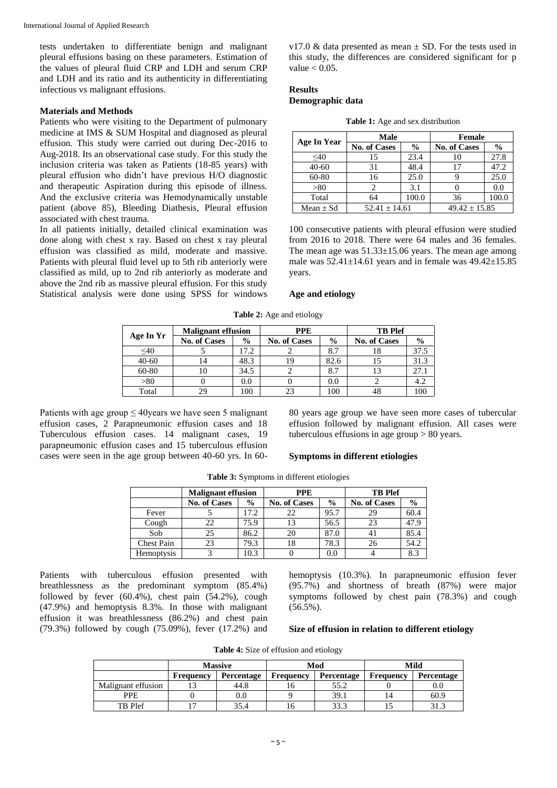tests undertaken to differentiate benign and malignant pleural effusions basing on these parameters. Estimation of the values of pleural fluid CRP and LDH and serum CRP and LDH and its ratio and its authenticity in differentiating infectious vs malignant effusions.

# **Materials and Methods**

Patients who were visiting to the Department of pulmonary medicine at IMS & SUM Hospital and diagnosed as pleural effusion. This study were carried out during Dec-2016 to Aug-2018. Its an observational case study. For this study the inclusion criteria was taken as Patients (18-85 years) with pleural effusion who didn't have previous H/O diagnostic and therapeutic Aspiration during this episode of illness. And the exclusive criteria was Hemodynamically unstable patient (above 85), Bleeding Diathesis, Pleural effusion associated with chest trauma.

In all patients initially, detailed clinical examination was done along with chest x ray. Based on chest x ray pleural effusion was classified as mild, moderate and massive. Patients with pleural fluid level up to 5th rib anteriorly were classified as mild, up to 2nd rib anteriorly as moderate and above the 2nd rib as massive pleural effusion. For this study Statistical analysis were done using SPSS for windows v17.0  $\&$  data presented as mean  $\pm$  SD. For the tests used in this study, the differences are considered significant for p value  $< 0.05$ .

# **Results**

# **Demographic data**

|  |  |  |  |  | <b>Table 1:</b> Age and sex distribution |
|--|--|--|--|--|------------------------------------------|
|--|--|--|--|--|------------------------------------------|

|               | Male                |               | <b>Female</b>       |               |  |
|---------------|---------------------|---------------|---------------------|---------------|--|
| Age In Year   | <b>No. of Cases</b> | $\frac{6}{9}$ | <b>No. of Cases</b> | $\frac{0}{0}$ |  |
| $\leq 40$     | 15                  | 23.4          | 10                  | 27.8          |  |
| $40 - 60$     | 31                  | 48.4          |                     | 47.2          |  |
| 60-80         | 16                  | 25.0          |                     | 25.0          |  |
| > 80          |                     | 3.1           |                     | 0.0           |  |
| Total         | 64                  | 100.0         | 36                  | 100.0         |  |
| Mean $\pm$ Sd | $52.41 \pm 14.61$   |               | $49.42 \pm 15.85$   |               |  |

100 consecutive patients with pleural effusion were studied from 2016 to 2018. There were 64 males and 36 females. The mean age was  $51.33 \pm 15.06$  years. The mean age among male was  $52.41 \pm 14.61$  years and in female was  $49.42 \pm 15.85$ years.

# **Age and etiology**

| Age In Yr | <b>Malignant effusion</b> |      | <b>PPE</b>          |               | <b>TB</b> Plef      |               |
|-----------|---------------------------|------|---------------------|---------------|---------------------|---------------|
|           | <b>No. of Cases</b>       | $\%$ | <b>No. of Cases</b> | $\frac{0}{0}$ | <b>No. of Cases</b> | $\frac{6}{9}$ |
| $\leq 40$ |                           | 17.2 |                     | 8.7           | 18                  | 37.5          |
| $40 - 60$ |                           | 48.3 | 19                  | 82.6          |                     | 31.3          |
| 60-80     |                           | 34.5 |                     | 8.7           |                     | 27.1          |
| > 80      |                           | 0.0  |                     | 0.0           |                     | 4.2           |
| Total     |                           | 100  | 23                  | 100           |                     | 100           |

**Table 2:** Age and etiology

Patients with age group  $\leq$  40 years we have seen 5 malignant effusion cases, 2 Parapneumonic effusion cases and 18 Tuberculous effusion cases. 14 malignant cases, 19 parapneumonic effusion cases and 15 tuberculous effusion cases were seen in the age group between 40-60 yrs. In 60-

80 years age group we have seen more cases of tubercular effusion followed by malignant effusion. All cases were tuberculous effusions in age group > 80 years.

# **Symptoms in different etiologies**

|                   | <b>Malignant effusion</b> |               | <b>PPE</b>          |               | <b>TB</b> Plef      |               |
|-------------------|---------------------------|---------------|---------------------|---------------|---------------------|---------------|
|                   | <b>No. of Cases</b>       | $\frac{6}{9}$ | <b>No. of Cases</b> | $\frac{0}{0}$ | <b>No. of Cases</b> | $\frac{6}{9}$ |
| Fever             |                           | 17.2          | 22                  | 95.7          | 29                  | 60.4          |
| Cough             | 22                        | 75.9          | 13                  | 56.5          | 23                  | 47.9          |
| Sob               | 25                        | 86.2          | 20                  | 87.0          |                     | 85.4          |
| <b>Chest Pain</b> | 23                        | 79.3          | 18                  | 78.3          | 26                  | 54.2          |
| Hemoptysis        |                           | 10.3          |                     | 0.0           |                     | 8.3           |

**Table 3:** Symptoms in different etiologies

Patients with tuberculous effusion presented with breathlessness as the predominant symptom (85.4%) followed by fever (60.4%), chest pain (54.2%), cough (47.9%) and hemoptysis 8.3%. In those with malignant effusion it was breathlessness (86.2%) and chest pain (79.3%) followed by cough (75.09%), fever  $(17.2\%)$  and hemoptysis (10.3%). In parapneumonic effusion fever (95.7%) and shortness of breath (87%) were major symptoms followed by chest pain (78.3%) and cough (56.5%).

# **Size of effusion in relation to different etiology**

**Table 4:** Size of effusion and etiology

|                    |           | <b>Massive</b> |                  | Mod        | Mild             |                   |
|--------------------|-----------|----------------|------------------|------------|------------------|-------------------|
|                    | Frequency | Percentage     | <b>Frequency</b> | Percentage | <b>Frequency</b> | <b>Percentage</b> |
| Malignant effusion |           | 44.8           | 16               | 55.2       |                  | $\rm 0.0$         |
| <b>PPE</b>         |           | $0.0\,$        |                  | 39.1       |                  | 60.9              |
| TB Plef            |           | 35.4           | 16               | 33.3       |                  | 31.3              |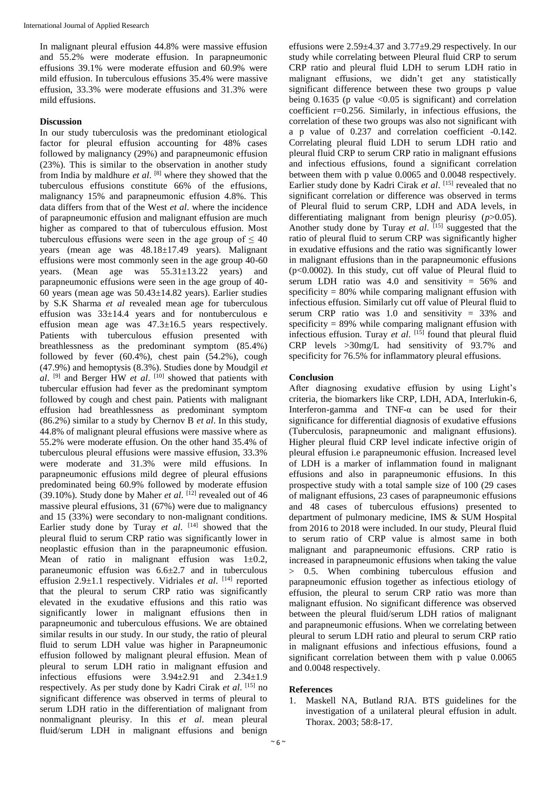In malignant pleural effusion 44.8% were massive effusion and 55.2% were moderate effusion. In parapneumonic effusions 39.1% were moderate effusion and 60.9% were mild effusion. In tuberculous effusions 35.4% were massive effusion, 33.3% were moderate effusions and 31.3% were mild effusions.

# **Discussion**

In our study tuberculosis was the predominant etiological factor for pleural effusion accounting for 48% cases followed by malignancy (29%) and parapneumonic effusion (23%). This is similar to the observation in another study from India by maldhure *et al*. <sup>[8]</sup> where they showed that the tuberculous effusions constitute 66% of the effusions, malignancy 15% and parapneumonic effusion 4.8%. This data differs from that of the West *et al*. where the incidence of parapneumonic effusion and malignant effusion are much higher as compared to that of tuberculous effusion. Most tuberculous effusions were seen in the age group of  $\leq 40$ years (mean age was 48.18±17.49 years). Malignant effusions were most commonly seen in the age group 40-60 years. (Mean age was 55.31±13.22 years) and parapneumonic effusions were seen in the age group of 40- 60 years (mean age was 50.43±14.82 years). Earlier studies by S.K Sharma *et al* revealed mean age for tuberculous effusion was  $33\pm14.4$  years and for nontuberculous e effusion mean age was 47.3±16.5 years respectively. Patients with tuberculous effusion presented with breathlessness as the predominant symptom (85.4%) followed by fever (60.4%), chest pain (54.2%), cough (47.9%) and hemoptysis (8.3%). Studies done by Moudgil *et al*. [9] and Berger HW *et al*. [10] showed that patients with tubercular effusion had fever as the predominant symptom followed by cough and chest pain. Patients with malignant effusion had breathlessness as predominant symptom (86.2%) similar to a study by Chernov B *et al*. In this study, 44.8% of malignant pleural effusions were massive where as 55.2% were moderate effusion. On the other hand 35.4% of tuberculous pleural effusions were massive effusion, 33.3% were moderate and 31.3% were mild effusions. In parapneumonic effusions mild degree of pleural effusions predominated being 60.9% followed by moderate effusion (39.10%). Study done by Maher *et al*. [12] revealed out of 46 massive pleural effusions, 31 (67%) were due to malignancy and 15 (33%) were secondary to non-malignant conditions. Earlier study done by Turay *et al*. [14] showed that the pleural fluid to serum CRP ratio was significantly lower in neoplastic effusion than in the parapneumonic effusion. Mean of ratio in malignant effusion was  $1\pm 0.2$ , paraneumonic effusion was  $6.6\pm2.7$  and in tuberculous effusion 2.9±1.1 respectively. Vidriales *et al*. [14] reported that the pleural to serum CRP ratio was significantly elevated in the exudative effusions and this ratio was significantly lower in malignant effusions then in parapneumonic and tuberculous effusions. We are obtained similar results in our study. In our study, the ratio of pleural fluid to serum LDH value was higher in Parapneumonic effusion followed by malignant pleural effusion. Mean of pleural to serum LDH ratio in malignant effusion and infectious effusions were  $3.94\pm2.91$  and  $2.34\pm1.9$ respectively. As per study done by Kadri Cirak *et al*. [15] no significant difference was observed in terms of pleural to serum LDH ratio in the differentiation of malignant from nonmalignant pleurisy. In this *et al*. mean pleural fluid/serum LDH in malignant effusions and benign

effusions were 2.59±4.37 and 3.77±9.29 respectively. In our study while correlating between Pleural fluid CRP to serum CRP ratio and pleural fluid LDH to serum LDH ratio in malignant effusions, we didn't get any statistically significant difference between these two groups p value being 0.1635 (p value  $\langle 0.05 \rangle$  is significant) and correlation coefficient  $r=0.256$ . Similarly, in infectious effusions, the correlation of these two groups was also not significant with a p value of 0.237 and correlation coefficient -0.142. Correlating pleural fluid LDH to serum LDH ratio and pleural fluid CRP to serum CRP ratio in malignant effusions and infectious effusions, found a significant correlation between them with p value 0.0065 and 0.0048 respectively. Earlier study done by Kadri Cirak et al. [15] revealed that no significant correlation or difference was observed in terms of Pleural fluid to serum CRP, LDH and ADA levels, in differentiating malignant from benign pleurisy (*p*>0.05). Another study done by Turay *et al.* [15] suggested that the ratio of pleural fluid to serum CRP was significantly higher in exudative effusions and the ratio was significantly lower in malignant effusions than in the parapneumonic effusions  $(p<0.0002)$ . In this study, cut off value of Pleural fluid to serum LDH ratio was 4.0 and sensitivity = 56% and specificity  $= 80\%$  while comparing malignant effusion with infectious effusion. Similarly cut off value of Pleural fluid to serum CRP ratio was 1.0 and sensitivity  $= 33\%$  and specificity  $= 89\%$  while comparing malignant effusion with infectious effusion. Turay *et al*. [15] found that pleural fluid CRP levels  $>30$ mg/L had sensitivity of 93.7% and specificity for 76.5% for inflammatory pleural effusions.

# **Conclusion**

After diagnosing exudative effusion by using Light's criteria, the biomarkers like CRP, LDH, ADA, Interlukin-6, Interferon-gamma and TNF-α can be used for their significance for differential diagnosis of exudative effusions (Tuberculosis, parapneumonic and malignant effusions). Higher pleural fluid CRP level indicate infective origin of pleural effusion i.e parapneumonic effusion. Increased level of LDH is a marker of inflammation found in malignant effusions and also in parapneumonic effusions. In this prospective study with a total sample size of 100 (29 cases of malignant effusions, 23 cases of parapneumonic effusions and 48 cases of tuberculous effusions) presented to department of pulmonary medicine, IMS & SUM Hospital from 2016 to 2018 were included. In our study, Pleural fluid to serum ratio of CRP value is almost same in both malignant and parapneumonic effusions. CRP ratio is increased in parapneumonic effusions when taking the value > 0.5. When combining tuberculous effusion and parapneumonic effusion together as infectious etiology of effusion, the pleural to serum CRP ratio was more than malignant effusion. No significant difference was observed between the pleural fluid/serum LDH ratios of malignant and parapneumonic effusions. When we correlating between pleural to serum LDH ratio and pleural to serum CRP ratio in malignant effusions and infectious effusions, found a significant correlation between them with p value 0.0065 and 0.0048 respectively.

# **References**

1. Maskell NA, Butland RJA. BTS guidelines for the investigation of a unilateral pleural effusion in adult. Thorax. 2003; 58:8-17.